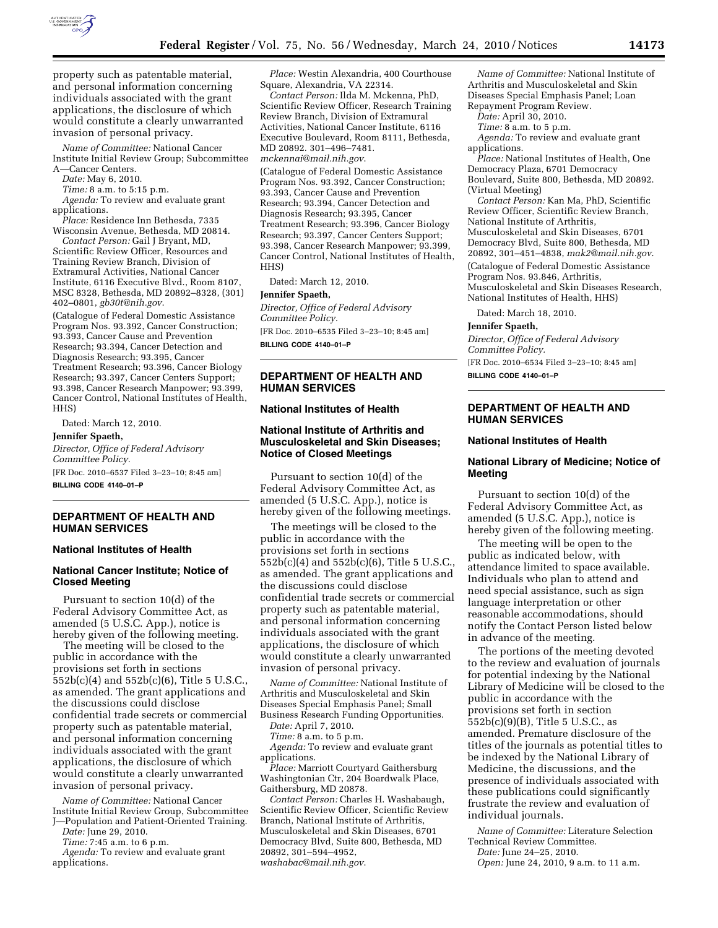

property such as patentable material, and personal information concerning individuals associated with the grant applications, the disclosure of which would constitute a clearly unwarranted invasion of personal privacy.

*Name of Committee:* National Cancer Institute Initial Review Group; Subcommittee A—Cancer Centers.

*Date:* May 6, 2010.

*Time:* 8 a.m. to 5:15 p.m.

*Agenda:* To review and evaluate grant applications.

*Place:* Residence Inn Bethesda, 7335 Wisconsin Avenue, Bethesda, MD 20814.

*Contact Person:* Gail J Bryant, MD, Scientific Review Officer, Resources and Training Review Branch, Division of Extramural Activities, National Cancer Institute, 6116 Executive Blvd., Room 8107, MSC 8328, Bethesda, MD 20892–8328, (301) 402–0801, *gb30t@nih.gov*.

(Catalogue of Federal Domestic Assistance Program Nos. 93.392, Cancer Construction; 93.393, Cancer Cause and Prevention Research; 93.394, Cancer Detection and Diagnosis Research; 93.395, Cancer Treatment Research; 93.396, Cancer Biology Research; 93.397, Cancer Centers Support; 93.398, Cancer Research Manpower; 93.399, Cancer Control, National Institutes of Health, HHS)

Dated: March 12, 2010.

**Jennifer Spaeth,**  *Director, Office of Federal Advisory Committee Policy.*  [FR Doc. 2010–6537 Filed 3–23–10; 8:45 am]

**BILLING CODE 4140–01–P** 

## **DEPARTMENT OF HEALTH AND HUMAN SERVICES**

#### **National Institutes of Health**

# **National Cancer Institute; Notice of Closed Meeting**

Pursuant to section 10(d) of the Federal Advisory Committee Act, as amended (5 U.S.C. App.), notice is hereby given of the following meeting.

The meeting will be closed to the public in accordance with the provisions set forth in sections 552b(c)(4) and 552b(c)(6), Title 5 U.S.C., as amended. The grant applications and the discussions could disclose confidential trade secrets or commercial property such as patentable material, and personal information concerning individuals associated with the grant applications, the disclosure of which would constitute a clearly unwarranted invasion of personal privacy.

*Name of Committee:* National Cancer Institute Initial Review Group, Subcommittee J—Population and Patient-Oriented Training.

*Date:* June 29, 2010.

*Time:* 7:45 a.m. to 6 p.m.

*Agenda:* To review and evaluate grant applications.

*Place:* Westin Alexandria, 400 Courthouse Square, Alexandria, VA 22314.

*Contact Person:* Ilda M. Mckenna, PhD, Scientific Review Officer, Research Training Review Branch, Division of Extramural Activities, National Cancer Institute, 6116 Executive Boulevard, Room 8111, Bethesda, MD 20892. 301–496–7481. *mckennai@mail.nih.gov*.

(Catalogue of Federal Domestic Assistance Program Nos. 93.392, Cancer Construction; 93.393, Cancer Cause and Prevention Research; 93.394, Cancer Detection and Diagnosis Research; 93.395, Cancer Treatment Research; 93.396, Cancer Biology Research; 93.397, Cancer Centers Support; 93.398, Cancer Research Manpower; 93.399, Cancer Control, National Institutes of Health, HHS)

Dated: March 12, 2010.

#### **Jennifer Spaeth,**

*Director, Office of Federal Advisory Committee Policy.* 

[FR Doc. 2010–6535 Filed 3–23–10; 8:45 am] **BILLING CODE 4140–01–P** 

# **DEPARTMENT OF HEALTH AND HUMAN SERVICES**

# **National Institutes of Health**

# **National Institute of Arthritis and Musculoskeletal and Skin Diseases; Notice of Closed Meetings**

Pursuant to section 10(d) of the Federal Advisory Committee Act, as amended (5 U.S.C. App.), notice is hereby given of the following meetings.

The meetings will be closed to the public in accordance with the provisions set forth in sections 552b(c)(4) and 552b(c)(6), Title 5 U.S.C., as amended. The grant applications and the discussions could disclose confidential trade secrets or commercial property such as patentable material, and personal information concerning individuals associated with the grant applications, the disclosure of which would constitute a clearly unwarranted invasion of personal privacy.

*Name of Committee:* National Institute of Arthritis and Musculoskeletal and Skin Diseases Special Emphasis Panel; Small Business Research Funding Opportunities. *Date:* April 7, 2010.

*Time:* 8 a.m. to 5 p.m.

*Agenda:* To review and evaluate grant applications.

*Place:* Marriott Courtyard Gaithersburg Washingtonian Ctr, 204 Boardwalk Place, Gaithersburg, MD 20878.

*Contact Person:* Charles H. Washabaugh, Scientific Review Officer, Scientific Review Branch, National Institute of Arthritis, Musculoskeletal and Skin Diseases, 6701 Democracy Blvd, Suite 800, Bethesda, MD 20892, 301–594–4952, *washabac@mail.nih.gov*.

*Name of Committee:* National Institute of Arthritis and Musculoskeletal and Skin Diseases Special Emphasis Panel; Loan Repayment Program Review.

*Date:* April 30, 2010.

*Time:* 8 a.m. to 5 p.m.

*Agenda:* To review and evaluate grant applications.

*Place:* National Institutes of Health, One Democracy Plaza, 6701 Democracy Boulevard, Suite 800, Bethesda, MD 20892. (Virtual Meeting)

*Contact Person:* Kan Ma, PhD, Scientific Review Officer, Scientific Review Branch, National Institute of Arthritis, Musculoskeletal and Skin Diseases, 6701 Democracy Blvd, Suite 800, Bethesda, MD 20892, 301–451–4838, *mak2@mail.nih.gov*. (Catalogue of Federal Domestic Assistance Program Nos. 93.846, Arthritis,

Musculoskeletal and Skin Diseases Research, National Institutes of Health, HHS)

Dated: March 18, 2010.

**Jennifer Spaeth,** 

*Director, Office of Federal Advisory Committee Policy.*  [FR Doc. 2010–6534 Filed 3–23–10; 8:45 am]

**BILLING CODE 4140–01–P** 

# **DEPARTMENT OF HEALTH AND HUMAN SERVICES**

#### **National Institutes of Health**

# **National Library of Medicine; Notice of Meeting**

Pursuant to section 10(d) of the Federal Advisory Committee Act, as amended (5 U.S.C. App.), notice is hereby given of the following meeting.

The meeting will be open to the public as indicated below, with attendance limited to space available. Individuals who plan to attend and need special assistance, such as sign language interpretation or other reasonable accommodations, should notify the Contact Person listed below in advance of the meeting.

The portions of the meeting devoted to the review and evaluation of journals for potential indexing by the National Library of Medicine will be closed to the public in accordance with the provisions set forth in section 552b(c)(9)(B), Title 5 U.S.C., as amended. Premature disclosure of the titles of the journals as potential titles to be indexed by the National Library of Medicine, the discussions, and the presence of individuals associated with these publications could significantly frustrate the review and evaluation of individual journals.

*Name of Committee:* Literature Selection Technical Review Committee.

*Date:* June 24–25, 2010.

*Open:* June 24, 2010, 9 a.m. to 11 a.m.